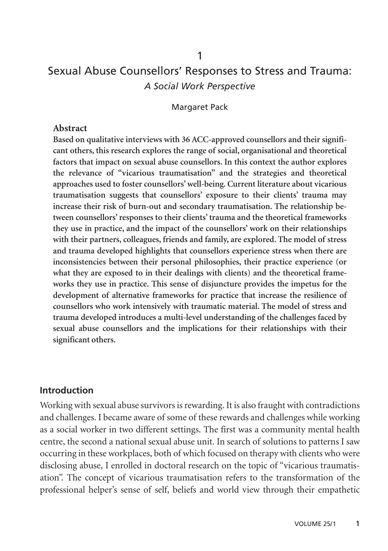# Sexual Abuse Counsellors' Responses to Stress and Trauma: *A Social Work Perspective*

Margaret Pack

#### **Abstract**

**Based on qualitative interviews with 36 ACC-approved counsellors and their significant others, this research explores the range of social, organisational and theoretical factors that impact on sexual abuse counsellors. In this context the author explores the relevance of "vicarious traumatisation" and the strategies and theoretical approaches used to foster counsellors'well-being. Current literature about vicarious traumatisation suggests that counsellors' exposure to their clients' trauma may increase their risk of burn-out and secondary traumatisation. The relationship between counsellors' responses to their clients' trauma and the theoretical frameworks they use in practice, and the impact of the counsellors' work on their relationships with their partners, colleagues, friends and family, are explored. The model of stress and trauma developed highlights that counsellors experience stress when there are inconsistencies between their personal philosophies, their practice experience (or what they are exposed to in their dealings with clients) and the theoretical frameworks they use in practice. This sense of disjuncture provides the impetus for the development of alternative frameworks for practice that increase the resilience of counsellors who work intensively with traumatic material. The model of stress and trauma developed introduces a multi-level understanding of the challenges faced by sexual abuse counsellors and the implications for their relationships with their significant others.**

#### **Introduction**

Working with sexual abuse survivors is rewarding. It is also fraught with contradictions and challenges. I became aware of some of these rewards and challenges while working as a social worker in two different settings. The first was a community mental health centre, the second a national sexual abuse unit. In search of solutions to patterns I saw occurring in these workplaces, both of which focused on therapy with clients who were disclosing abuse, I enrolled in doctoral research on the topic of "vicarious traumatisation". The concept of vicarious traumatisation refers to the transformation of the professional helper's sense of self, beliefs and world view through their empathetic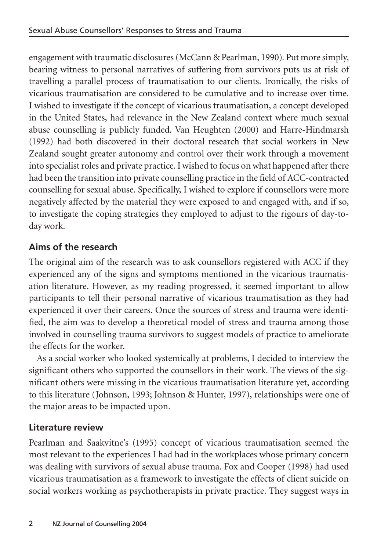engagement with traumatic disclosures (McCann & Pearlman, 1990). Put more simply, bearing witness to personal narratives of suffering from survivors puts us at risk of travelling a parallel process of traumatisation to our clients. Ironically, the risks of vicarious traumatisation are considered to be cumulative and to increase over time. I wished to investigate if the concept of vicarious traumatisation, a concept developed in the United States, had relevance in the New Zealand context where much sexual abuse counselling is publicly funded. Van Heughten (2000) and Harre-Hindmarsh (1992) had both discovered in their doctoral research that social workers in New Zealand sought greater autonomy and control over their work through a movement into specialist roles and private practice. I wished to focus on what happened after there had been the transition into private counselling practice in the field of ACC-contracted counselling for sexual abuse. Specifically, I wished to explore if counsellors were more negatively affected by the material they were exposed to and engaged with, and if so, to investigate the coping strategies they employed to adjust to the rigours of day-today work.

# **Aims of the research**

The original aim of the research was to ask counsellors registered with ACC if they experienced any of the signs and symptoms mentioned in the vicarious traumatisation literature. However, as my reading progressed, it seemed important to allow participants to tell their personal narrative of vicarious traumatisation as they had experienced it over their careers. Once the sources of stress and trauma were identified, the aim was to develop a theoretical model of stress and trauma among those involved in counselling trauma survivors to suggest models of practice to ameliorate the effects for the worker.

As a social worker who looked systemically at problems, I decided to interview the significant others who supported the counsellors in their work. The views of the significant others were missing in the vicarious traumatisation literature yet, according to this literature (Johnson, 1993; Johnson & Hunter, 1997), relationships were one of the major areas to be impacted upon.

### **Literature review**

Pearlman and Saakvitne's (1995) concept of vicarious traumatisation seemed the most relevant to the experiences I had had in the workplaces whose primary concern was dealing with survivors of sexual abuse trauma. Fox and Cooper (1998) had used vicarious traumatisation as a framework to investigate the effects of client suicide on social workers working as psychotherapists in private practice. They suggest ways in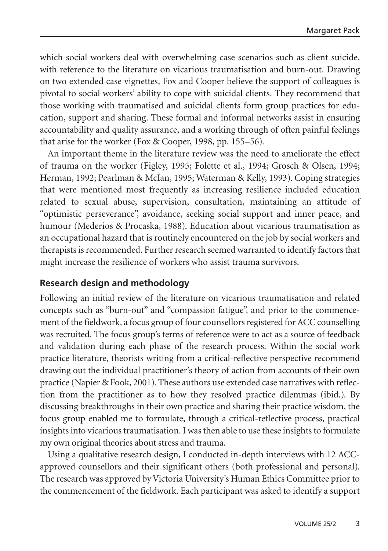which social workers deal with overwhelming case scenarios such as client suicide, with reference to the literature on vicarious traumatisation and burn-out. Drawing on two extended case vignettes, Fox and Cooper believe the support of colleagues is pivotal to social workers' ability to cope with suicidal clients. They recommend that those working with traumatised and suicidal clients form group practices for education, support and sharing. These formal and informal networks assist in ensuring accountability and quality assurance, and a working through of often painful feelings that arise for the worker (Fox & Cooper, 1998, pp. 155–56).

An important theme in the literature review was the need to ameliorate the effect of trauma on the worker (Figley, 1995; Folette et al., 1994; Grosch & Olsen, 1994; Herman, 1992; Pearlman & McIan, 1995; Waterman & Kelly, 1993). Coping strategies that were mentioned most frequently as increasing resilience included education related to sexual abuse, supervision, consultation, maintaining an attitude of "optimistic perseverance", avoidance, seeking social support and inner peace, and humour (Mederios & Procaska, 1988). Education about vicarious traumatisation as an occupational hazard that is routinely encountered on the job by social workers and therapists is recommended. Further research seemed warranted to identify factors that might increase the resilience of workers who assist trauma survivors.

### **Research design and methodology**

Following an initial review of the literature on vicarious traumatisation and related concepts such as "burn-out" and "compassion fatigue", and prior to the commencement of the fieldwork, a focus group of four counsellors registered for ACC counselling was recruited. The focus group's terms of reference were to act as a source of feedback and validation during each phase of the research process. Within the social work practice literature, theorists writing from a critical-reflective perspective recommend drawing out the individual practitioner's theory of action from accounts of their own practice (Napier & Fook, 2001). These authors use extended case narratives with reflection from the practitioner as to how they resolved practice dilemmas (ibid.). By discussing breakthroughs in their own practice and sharing their practice wisdom, the focus group enabled me to formulate, through a critical-reflective process, practical insights into vicarious traumatisation. I was then able to use these insights to formulate my own original theories about stress and trauma.

Using a qualitative research design, I conducted in-depth interviews with 12 ACCapproved counsellors and their significant others (both professional and personal). The research was approved by Victoria University's Human Ethics Committee prior to the commencement of the fieldwork. Each participant was asked to identify a support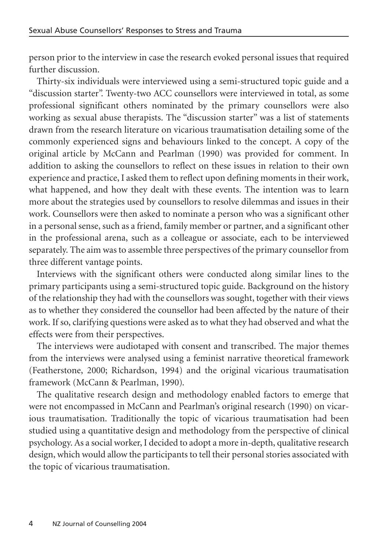person prior to the interview in case the research evoked personal issues that required further discussion.

Thirty-six individuals were interviewed using a semi-structured topic guide and a "discussion starter". Twenty-two ACC counsellors were interviewed in total, as some professional significant others nominated by the primary counsellors were also working as sexual abuse therapists. The "discussion starter" was a list of statements drawn from the research literature on vicarious traumatisation detailing some of the commonly experienced signs and behaviours linked to the concept. A copy of the original article by McCann and Pearlman (1990) was provided for comment. In addition to asking the counsellors to reflect on these issues in relation to their own experience and practice, I asked them to reflect upon defining moments in their work, what happened, and how they dealt with these events. The intention was to learn more about the strategies used by counsellors to resolve dilemmas and issues in their work. Counsellors were then asked to nominate a person who was a significant other in a personal sense, such as a friend, family member or partner, and a significant other in the professional arena, such as a colleague or associate, each to be interviewed separately. The aim was to assemble three perspectives of the primary counsellor from three different vantage points.

Interviews with the significant others were conducted along similar lines to the primary participants using a semi-structured topic guide. Background on the history of the relationship they had with the counsellors was sought, together with their views as to whether they considered the counsellor had been affected by the nature of their work. If so, clarifying questions were asked as to what they had observed and what the effects were from their perspectives.

The interviews were audiotaped with consent and transcribed. The major themes from the interviews were analysed using a feminist narrative theoretical framework (Featherstone, 2000; Richardson, 1994) and the original vicarious traumatisation framework (McCann & Pearlman, 1990).

The qualitative research design and methodology enabled factors to emerge that were not encompassed in McCann and Pearlman's original research (1990) on vicarious traumatisation. Traditionally the topic of vicarious traumatisation had been studied using a quantitative design and methodology from the perspective of clinical psychology. As a social worker, I decided to adopt a more in-depth, qualitative research design, which would allow the participants to tell their personal stories associated with the topic of vicarious traumatisation.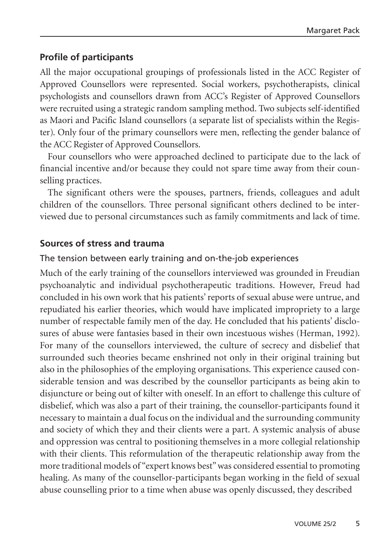### **Profile of participants**

All the major occupational groupings of professionals listed in the ACC Register of Approved Counsellors were represented. Social workers, psychotherapists, clinical psychologists and counsellors drawn from ACC's Register of Approved Counsellors were recruited using a strategic random sampling method. Two subjects self-identified as Maori and Pacific Island counsellors (a separate list of specialists within the Register). Only four of the primary counsellors were men, reflecting the gender balance of the ACC Register of Approved Counsellors.

Four counsellors who were approached declined to participate due to the lack of financial incentive and/or because they could not spare time away from their counselling practices.

The significant others were the spouses, partners, friends, colleagues and adult children of the counsellors. Three personal significant others declined to be interviewed due to personal circumstances such as family commitments and lack of time.

### **Sources of stress and trauma**

### The tension between early training and on-the-job experiences

Much of the early training of the counsellors interviewed was grounded in Freudian psychoanalytic and individual psychotherapeutic traditions. However, Freud had concluded in his own work that his patients' reports of sexual abuse were untrue, and repudiated his earlier theories, which would have implicated impropriety to a large number of respectable family men of the day. He concluded that his patients' disclosures of abuse were fantasies based in their own incestuous wishes (Herman, 1992). For many of the counsellors interviewed, the culture of secrecy and disbelief that surrounded such theories became enshrined not only in their original training but also in the philosophies of the employing organisations. This experience caused considerable tension and was described by the counsellor participants as being akin to disjuncture or being out of kilter with oneself. In an effort to challenge this culture of disbelief, which was also a part of their training, the counsellor-participants found it necessary to maintain a dual focus on the individual and the surrounding community and society of which they and their clients were a part. A systemic analysis of abuse and oppression was central to positioning themselves in a more collegial relationship with their clients. This reformulation of the therapeutic relationship away from the more traditional models of "expert knows best" was considered essential to promoting healing. As many of the counsellor-participants began working in the field of sexual abuse counselling prior to a time when abuse was openly discussed, they described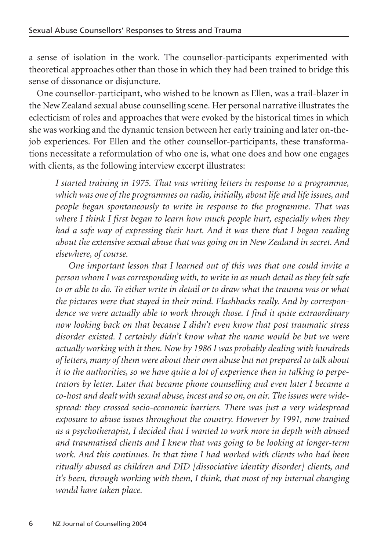a sense of isolation in the work. The counsellor-participants experimented with theoretical approaches other than those in which they had been trained to bridge this sense of dissonance or disjuncture.

One counsellor-participant, who wished to be known as Ellen, was a trail-blazer in the New Zealand sexual abuse counselling scene. Her personal narrative illustrates the eclecticism of roles and approaches that were evoked by the historical times in which she was working and the dynamic tension between her early training and later on-thejob experiences. For Ellen and the other counsellor-participants, these transformations necessitate a reformulation of who one is, what one does and how one engages with clients, as the following interview excerpt illustrates:

*I started training in 1975. That was writing letters in response to a programme, which was one of the programmes on radio, initially, about life and life issues, and people began spontaneously to write in response to the programme. That was where I think I first began to learn how much people hurt, especially when they had a safe way of expressing their hurt. And it was there that I began reading about the extensive sexual abuse that was going on in New Zealand in secret. And elsewhere, of course.*

*One important lesson that I learned out of this was that one could invite a person whom I was corresponding with, to write in as much detail as they felt safe to or able to do. To either write in detail or to draw what the trauma was or what the pictures were that stayed in their mind. Flashbacks really. And by correspondence we were actually able to work through those. I find it quite extraordinary now looking back on that because I didn't even know that post traumatic stress disorder existed. I certainly didn't know what the name would be but we were actually working with it then. Now by 1986 I was probably dealing with hundreds of letters, many of them were about their own abuse but not prepared to talk about it to the authorities, so we have quite a lot of experience then in talking to perpetrators by letter. Later that became phone counselling and even later I became a co-host and dealt with sexual abuse, incest and so on, on air. The issues were widespread: they crossed socio-economic barriers. There was just a very widespread exposure to abuse issues throughout the country. However by 1991, now trained as a psychotherapist, I decided that I wanted to work more in depth with abused and traumatised clients and I knew that was going to be looking at longer-term work. And this continues. In that time I had worked with clients who had been ritually abused as children and DID [dissociative identity disorder] clients, and it's been, through working with them, I think, that most of my internal changing would have taken place.*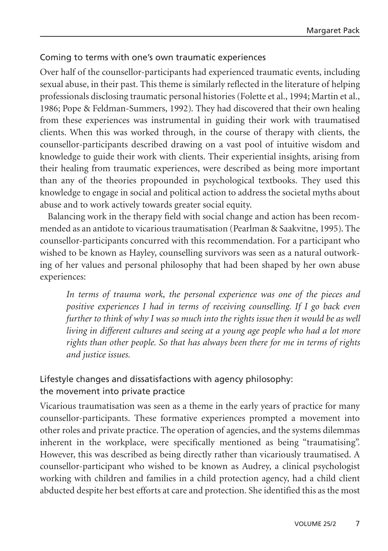#### Coming to terms with one's own traumatic experiences

Over half of the counsellor-participants had experienced traumatic events, including sexual abuse, in their past. This theme is similarly reflected in the literature of helping professionals disclosing traumatic personal histories (Folette et al., 1994; Martin et al., 1986; Pope & Feldman-Summers, 1992). They had discovered that their own healing from these experiences was instrumental in guiding their work with traumatised clients. When this was worked through, in the course of therapy with clients, the counsellor-participants described drawing on a vast pool of intuitive wisdom and knowledge to guide their work with clients. Their experiential insights, arising from their healing from traumatic experiences, were described as being more important than any of the theories propounded in psychological textbooks. They used this knowledge to engage in social and political action to address the societal myths about abuse and to work actively towards greater social equity.

Balancing work in the therapy field with social change and action has been recommended as an antidote to vicarious traumatisation (Pearlman & Saakvitne, 1995). The counsellor-participants concurred with this recommendation. For a participant who wished to be known as Hayley, counselling survivors was seen as a natural outworking of her values and personal philosophy that had been shaped by her own abuse experiences:

*In terms of trauma work, the personal experience was one of the pieces and positive experiences I had in terms of receiving counselling. If I go back even further to think of why I was so much into the rights issue then it would be as well living in different cultures and seeing at a young age people who had a lot more rights than other people. So that has always been there for me in terms of rights and justice issues.*

### Lifestyle changes and dissatisfactions with agency philosophy: the movement into private practice

Vicarious traumatisation was seen as a theme in the early years of practice for many counsellor-participants. These formative experiences prompted a movement into other roles and private practice. The operation of agencies, and the systems dilemmas inherent in the workplace, were specifically mentioned as being "traumatising". However, this was described as being directly rather than vicariously traumatised. A counsellor-participant who wished to be known as Audrey, a clinical psychologist working with children and families in a child protection agency, had a child client abducted despite her best efforts at care and protection. She identified this as the most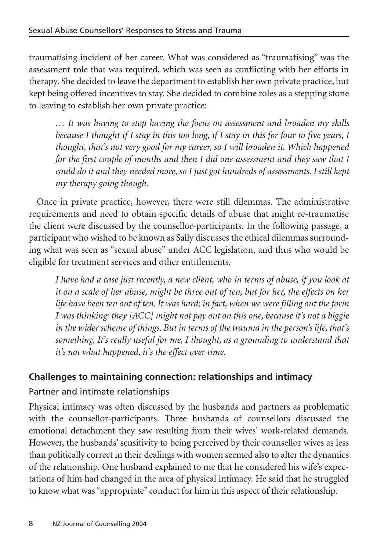traumatising incident of her career. What was considered as "traumatising" was the assessment role that was required, which was seen as conflicting with her efforts in therapy. She decided to leave the department to establish her own private practice, but kept being offered incentives to stay. She decided to combine roles as a stepping stone to leaving to establish her own private practice:

*… It was having to stop having the focus on assessment and broaden my skills because I thought if I stay in this too long, if I stay in this for four to five years, I thought, that's not very good for my career, so I will broaden it. Which happened for the first couple of months and then I did one assessment and they saw that I could do it and they needed more, so I just got hundreds of assessments. I still kept my therapy going though.*

Once in private practice, however, there were still dilemmas. The administrative requirements and need to obtain specific details of abuse that might re-traumatise the client were discussed by the counsellor-participants. In the following passage, a participant who wished to be known as Sally discusses the ethical dilemmas surrounding what was seen as "sexual abuse" under ACC legislation, and thus who would be eligible for treatment services and other entitlements.

*I have had a case just recently, a new client, who in terms of abuse, if you look at it on a scale of her abuse, might be three out of ten, but for her, the effects on her life have been ten out of ten. It was hard; in fact, when we were filling out the form I was thinking: they [ACC] might not pay out on this one, because it's not a biggie in the wider scheme of things. But in terms of the trauma in the person's life, that's something. It's really useful for me, I thought, as a grounding to understand that it's not what happened, it's the effect over time.*

### **Challenges to maintaining connection: relationships and intimacy**

# Partner and intimate relationships

Physical intimacy was often discussed by the husbands and partners as problematic with the counsellor-participants. Three husbands of counsellors discussed the emotional detachment they saw resulting from their wives' work-related demands. However, the husbands' sensitivity to being perceived by their counsellor wives as less than politically correct in their dealings with women seemed also to alter the dynamics of the relationship. One husband explained to me that he considered his wife's expectations of him had changed in the area of physical intimacy. He said that he struggled to know what was "appropriate" conduct for him in this aspect of their relationship.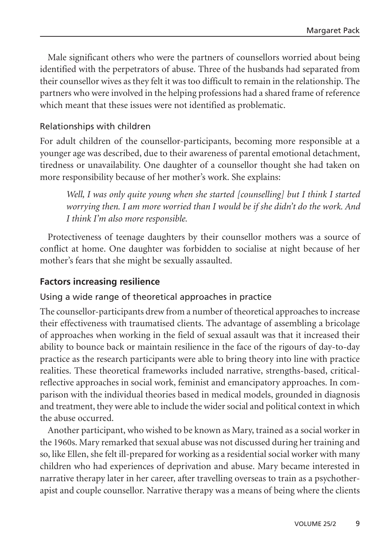Male significant others who were the partners of counsellors worried about being identified with the perpetrators of abuse. Three of the husbands had separated from their counsellor wives as they felt it was too difficult to remain in the relationship. The partners who were involved in the helping professions had a shared frame of reference which meant that these issues were not identified as problematic.

#### Relationships with children

For adult children of the counsellor-participants, becoming more responsible at a younger age was described, due to their awareness of parental emotional detachment, tiredness or unavailability. One daughter of a counsellor thought she had taken on more responsibility because of her mother's work. She explains:

*Well, I was only quite young when she started [counselling] but I think I started worrying then. I am more worried than I would be if she didn't do the work. And I think I'm also more responsible.*

Protectiveness of teenage daughters by their counsellor mothers was a source of conflict at home. One daughter was forbidden to socialise at night because of her mother's fears that she might be sexually assaulted.

### **Factors increasing resilience**

#### Using a wide range of theoretical approaches in practice

The counsellor-participants drew from a number of theoretical approaches to increase their effectiveness with traumatised clients. The advantage of assembling a bricolage of approaches when working in the field of sexual assault was that it increased their ability to bounce back or maintain resilience in the face of the rigours of day-to-day practice as the research participants were able to bring theory into line with practice realities. These theoretical frameworks included narrative, strengths-based, criticalreflective approaches in social work, feminist and emancipatory approaches. In comparison with the individual theories based in medical models, grounded in diagnosis and treatment, they were able to include the wider social and political context in which the abuse occurred.

Another participant, who wished to be known as Mary, trained as a social worker in the 1960s. Mary remarked that sexual abuse was not discussed during her training and so, like Ellen, she felt ill-prepared for working as a residential social worker with many children who had experiences of deprivation and abuse. Mary became interested in narrative therapy later in her career, after travelling overseas to train as a psychotherapist and couple counsellor. Narrative therapy was a means of being where the clients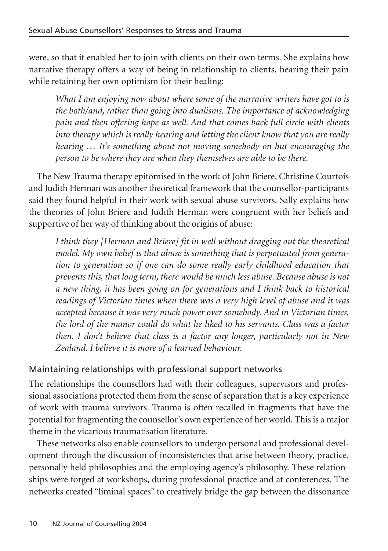were, so that it enabled her to join with clients on their own terms. She explains how narrative therapy offers a way of being in relationship to clients, hearing their pain while retaining her own optimism for their healing:

*What I am enjoying now about where some of the narrative writers have got to is the both/and, rather than going into dualisms. The importance of acknowledging pain and then offering hope as well. And that comes back full circle with clients into therapy which is really hearing and letting the client know that you are really hearing … It's something about not moving somebody on but encouraging the person to be where they are when they themselves are able to be there.*

The New Trauma therapy epitomised in the work of John Briere, Christine Courtois and Judith Herman was another theoretical framework that the counsellor-participants said they found helpful in their work with sexual abuse survivors. Sally explains how the theories of John Briere and Judith Herman were congruent with her beliefs and supportive of her way of thinking about the origins of abuse:

*I think they [Herman and Briere] fit in well without dragging out the theoretical model. My own belief is that abuse is something that is perpetuated from generation to generation so if one can do some really early childhood education that prevents this, that long term, there would be much less abuse. Because abuse is not a new thing, it has been going on for generations and I think back to historical readings of Victorian times when there was a very high level of abuse and it was accepted because it was very much power over somebody. And in Victorian times, the lord of the manor could do what he liked to his servants. Class was a factor then. I don't believe that class is a factor any longer, particularly not in New Zealand. I believe it is more of a learned behaviour.*

### Maintaining relationships with professional support networks

The relationships the counsellors had with their colleagues, supervisors and professional associations protected them from the sense of separation that is a key experience of work with trauma survivors. Trauma is often recalled in fragments that have the potential for fragmenting the counsellor's own experience of her world. This is a major theme in the vicarious traumatisation literature.

These networks also enable counsellors to undergo personal and professional development through the discussion of inconsistencies that arise between theory, practice, personally held philosophies and the employing agency's philosophy. These relationships were forged at workshops, during professional practice and at conferences. The networks created "liminal spaces" to creatively bridge the gap between the dissonance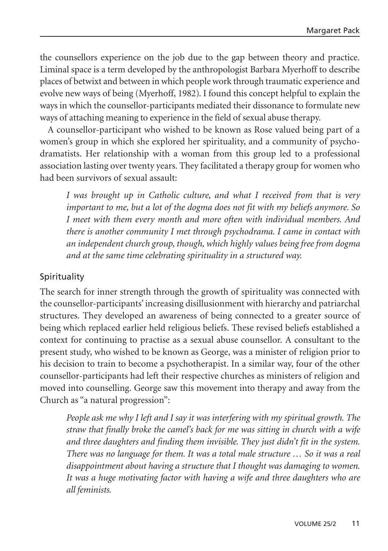the counsellors experience on the job due to the gap between theory and practice. Liminal space is a term developed by the anthropologist Barbara Myerhoff to describe places of betwixt and between in which people work through traumatic experience and evolve new ways of being (Myerhoff, 1982). I found this concept helpful to explain the ways in which the counsellor-participants mediated their dissonance to formulate new ways of attaching meaning to experience in the field of sexual abuse therapy.

A counsellor-participant who wished to be known as Rose valued being part of a women's group in which she explored her spirituality, and a community of psychodramatists. Her relationship with a woman from this group led to a professional association lasting over twenty years. They facilitated a therapy group for women who had been survivors of sexual assault:

*I was brought up in Catholic culture, and what I received from that is very important to me, but a lot of the dogma does not fit with my beliefs anymore. So I meet with them every month and more often with individual members. And there is another community I met through psychodrama. I came in contact with an independent church group, though, which highly values being free from dogma and at the same time celebrating spirituality in a structured way.*

### Spirituality

The search for inner strength through the growth of spirituality was connected with the counsellor-participants' increasing disillusionment with hierarchy and patriarchal structures. They developed an awareness of being connected to a greater source of being which replaced earlier held religious beliefs. These revised beliefs established a context for continuing to practise as a sexual abuse counsellor. A consultant to the present study, who wished to be known as George, was a minister of religion prior to his decision to train to become a psychotherapist. In a similar way, four of the other counsellor-participants had left their respective churches as ministers of religion and moved into counselling. George saw this movement into therapy and away from the Church as "a natural progression":

*People ask me why I left and I say it was interfering with my spiritual growth. The straw that finally broke the camel's back for me was sitting in church with a wife and three daughters and finding them invisible. They just didn't fit in the system. There was no language for them. It was a total male structure … So it was a real disappointment about having a structure that I thought was damaging to women. It was a huge motivating factor with having a wife and three daughters who are all feminists.*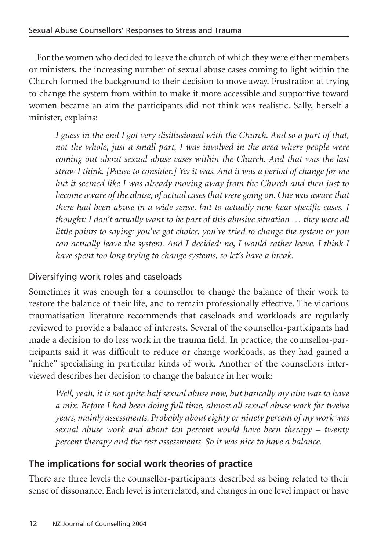For the women who decided to leave the church of which they were either members or ministers, the increasing number of sexual abuse cases coming to light within the Church formed the background to their decision to move away. Frustration at trying to change the system from within to make it more accessible and supportive toward women became an aim the participants did not think was realistic. Sally, herself a minister, explains:

*I guess in the end I got very disillusioned with the Church. And so a part of that, not the whole, just a small part, I was involved in the area where people were coming out about sexual abuse cases within the Church. And that was the last straw I think. [Pause to consider.] Yes it was. And it was a period of change for me but it seemed like I was already moving away from the Church and then just to become aware of the abuse, of actual cases that were going on. One was aware that there had been abuse in a wide sense, but to actually now hear specific cases. I thought: I don't actually want to be part of this abusive situation … they were all little points to saying: you've got choice, you've tried to change the system or you can actually leave the system. And I decided: no, I would rather leave. I think I have spent too long trying to change systems, so let's have a break.*

### Diversifying work roles and caseloads

Sometimes it was enough for a counsellor to change the balance of their work to restore the balance of their life, and to remain professionally effective. The vicarious traumatisation literature recommends that caseloads and workloads are regularly reviewed to provide a balance of interests. Several of the counsellor-participants had made a decision to do less work in the trauma field. In practice, the counsellor-participants said it was difficult to reduce or change workloads, as they had gained a "niche" specialising in particular kinds of work. Another of the counsellors interviewed describes her decision to change the balance in her work:

*Well, yeah, it is not quite half sexual abuse now, but basically my aim was to have a mix. Before I had been doing full time, almost all sexual abuse work for twelve years, mainly assessments. Probably about eighty or ninety percent of my work was sexual abuse work and about ten percent would have been therapy – twenty percent therapy and the rest assessments. So it was nice to have a balance.*

### **The implications for social work theories of practice**

There are three levels the counsellor-participants described as being related to their sense of dissonance. Each level is interrelated, and changes in one level impact or have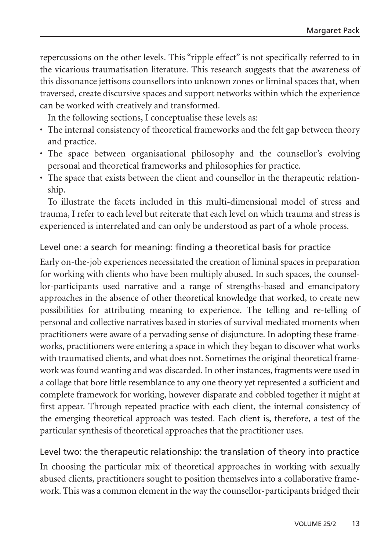repercussions on the other levels. This "ripple effect" is not specifically referred to in the vicarious traumatisation literature. This research suggests that the awareness of this dissonance jettisons counsellors into unknown zones or liminal spaces that, when traversed, create discursive spaces and support networks within which the experience can be worked with creatively and transformed.

In the following sections, I conceptualise these levels as:

- The internal consistency of theoretical frameworks and the felt gap between theory and practice.
- The space between organisational philosophy and the counsellor's evolving personal and theoretical frameworks and philosophies for practice.
- The space that exists between the client and counsellor in the therapeutic relationship.

To illustrate the facets included in this multi-dimensional model of stress and trauma, I refer to each level but reiterate that each level on which trauma and stress is experienced is interrelated and can only be understood as part of a whole process.

### Level one: a search for meaning: finding a theoretical basis for practice

Early on-the-job experiences necessitated the creation of liminal spaces in preparation for working with clients who have been multiply abused. In such spaces, the counsellor-participants used narrative and a range of strengths-based and emancipatory approaches in the absence of other theoretical knowledge that worked, to create new possibilities for attributing meaning to experience. The telling and re-telling of personal and collective narratives based in stories of survival mediated moments when practitioners were aware of a pervading sense of disjuncture. In adopting these frameworks, practitioners were entering a space in which they began to discover what works with traumatised clients, and what does not. Sometimes the original theoretical framework was found wanting and was discarded. In other instances, fragments were used in a collage that bore little resemblance to any one theory yet represented a sufficient and complete framework for working, however disparate and cobbled together it might at first appear. Through repeated practice with each client, the internal consistency of the emerging theoretical approach was tested. Each client is, therefore, a test of the particular synthesis of theoretical approaches that the practitioner uses.

### Level two: the therapeutic relationship: the translation of theory into practice

In choosing the particular mix of theoretical approaches in working with sexually abused clients, practitioners sought to position themselves into a collaborative framework. This was a common element in the way the counsellor-participants bridged their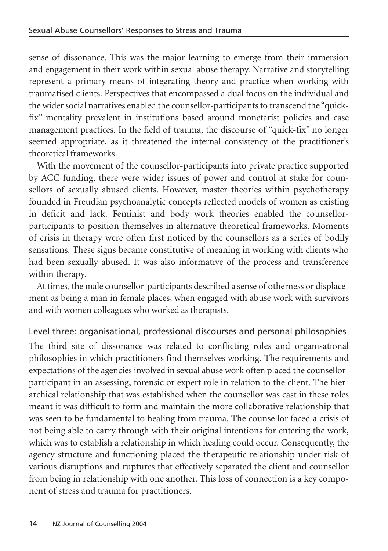sense of dissonance. This was the major learning to emerge from their immersion and engagement in their work within sexual abuse therapy. Narrative and storytelling represent a primary means of integrating theory and practice when working with traumatised clients. Perspectives that encompassed a dual focus on the individual and the wider social narratives enabled the counsellor-participants to transcend the "quickfix" mentality prevalent in institutions based around monetarist policies and case management practices. In the field of trauma, the discourse of "quick-fix" no longer seemed appropriate, as it threatened the internal consistency of the practitioner's theoretical frameworks.

With the movement of the counsellor-participants into private practice supported by ACC funding, there were wider issues of power and control at stake for counsellors of sexually abused clients. However, master theories within psychotherapy founded in Freudian psychoanalytic concepts reflected models of women as existing in deficit and lack. Feminist and body work theories enabled the counsellorparticipants to position themselves in alternative theoretical frameworks. Moments of crisis in therapy were often first noticed by the counsellors as a series of bodily sensations. These signs became constitutive of meaning in working with clients who had been sexually abused. It was also informative of the process and transference within therapy.

At times, the male counsellor-participants described a sense of otherness or displacement as being a man in female places, when engaged with abuse work with survivors and with women colleagues who worked as therapists.

### Level three: organisational, professional discourses and personal philosophies

The third site of dissonance was related to conflicting roles and organisational philosophies in which practitioners find themselves working. The requirements and expectations of the agencies involved in sexual abuse work often placed the counsellorparticipant in an assessing, forensic or expert role in relation to the client. The hierarchical relationship that was established when the counsellor was cast in these roles meant it was difficult to form and maintain the more collaborative relationship that was seen to be fundamental to healing from trauma. The counsellor faced a crisis of not being able to carry through with their original intentions for entering the work, which was to establish a relationship in which healing could occur. Consequently, the agency structure and functioning placed the therapeutic relationship under risk of various disruptions and ruptures that effectively separated the client and counsellor from being in relationship with one another. This loss of connection is a key component of stress and trauma for practitioners.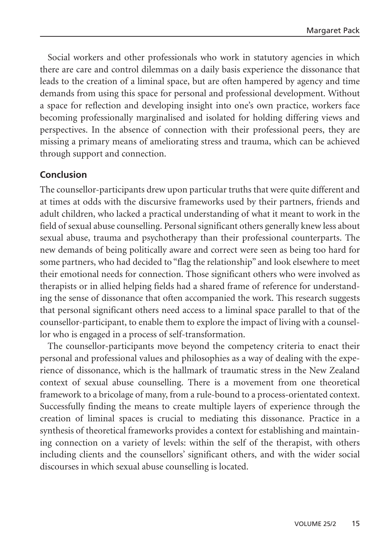Social workers and other professionals who work in statutory agencies in which there are care and control dilemmas on a daily basis experience the dissonance that leads to the creation of a liminal space, but are often hampered by agency and time demands from using this space for personal and professional development. Without a space for reflection and developing insight into one's own practice, workers face becoming professionally marginalised and isolated for holding differing views and perspectives. In the absence of connection with their professional peers, they are missing a primary means of ameliorating stress and trauma, which can be achieved through support and connection.

### **Conclusion**

The counsellor-participants drew upon particular truths that were quite different and at times at odds with the discursive frameworks used by their partners, friends and adult children, who lacked a practical understanding of what it meant to work in the field of sexual abuse counselling. Personal significant others generally knew less about sexual abuse, trauma and psychotherapy than their professional counterparts. The new demands of being politically aware and correct were seen as being too hard for some partners, who had decided to "flag the relationship" and look elsewhere to meet their emotional needs for connection. Those significant others who were involved as therapists or in allied helping fields had a shared frame of reference for understanding the sense of dissonance that often accompanied the work. This research suggests that personal significant others need access to a liminal space parallel to that of the counsellor-participant, to enable them to explore the impact of living with a counsellor who is engaged in a process of self-transformation.

The counsellor-participants move beyond the competency criteria to enact their personal and professional values and philosophies as a way of dealing with the experience of dissonance, which is the hallmark of traumatic stress in the New Zealand context of sexual abuse counselling. There is a movement from one theoretical framework to a bricolage of many, from a rule-bound to a process-orientated context. Successfully finding the means to create multiple layers of experience through the creation of liminal spaces is crucial to mediating this dissonance. Practice in a synthesis of theoretical frameworks provides a context for establishing and maintaining connection on a variety of levels: within the self of the therapist, with others including clients and the counsellors' significant others, and with the wider social discourses in which sexual abuse counselling is located.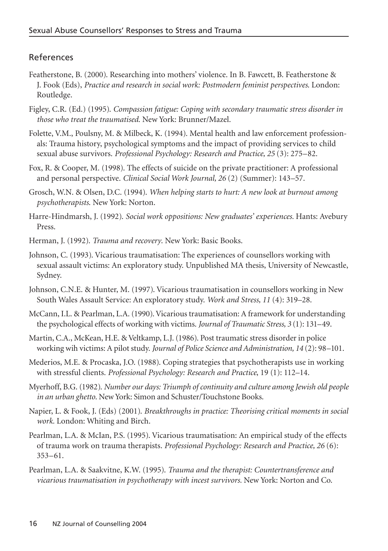### References

- Featherstone, B. (2000). Researching into mothers' violence. In B. Fawcett, B. Featherstone & J. Fook (Eds), *Practice and research in social work: Postmodern feminist perspectives*. London: Routledge.
- Figley, C.R. (Ed.) (1995). *Compassion fatigue: Coping with secondary traumatic stress disorder in those who treat the traumatised*. New York: Brunner/Mazel.
- Folette, V.M., Poulsny, M. & Milbeck, K. (1994). Mental health and law enforcement professionals: Trauma history, psychological symptoms and the impact of providing services to child sexual abuse survivors. *Professional Psychology: Research and Practice, 25* (3): 275–82.
- Fox, R. & Cooper, M. (1998). The effects of suicide on the private practitioner: A professional and personal perspective. *Clinical Social Work Journal, 26* (2) (Summer): 143–57.
- Grosch, W.N. & Olsen, D.C. (1994). *When helping starts to hurt: A new look at burnout among psychotherapists*. New York: Norton.
- Harre-Hindmarsh, J. (1992). *Social work oppositions: New graduates' experiences.* Hants: Avebury Press.
- Herman, J. (1992). *Trauma and recovery*. New York: Basic Books.
- Johnson, C. (1993). Vicarious traumatisation: The experiences of counsellors working with sexual assault victims: An exploratory study. Unpublished MA thesis, University of Newcastle, Sydney.
- Johnson, C.N.E. & Hunter, M. (1997). Vicarious traumatisation in counsellors working in New South Wales Assault Service: An exploratory study. *Work and Stress, 11* (4): 319–28.
- McCann, I.L. & Pearlman, L.A. (1990). Vicarious traumatisation: A framework for understanding the psychological effects of working with victims. *Journal of Traumatic Stress, 3* (1): 131–49.
- Martin, C.A., McKean, H.E. & Veltkamp, L.J. (1986). Post traumatic stress disorder in police working wih victims: A pilot study. *Journal of Police Science and Administration, 14* (2): 98–101.
- Mederios, M.E. & Procaska, J.O. (1988). Coping strategies that psychotherapists use in working with stressful clients. *Professional Psychology: Research and Practice*, 19 (1): 112–14.
- Myerhoff, B.G. (1982). *Number our days: Triumph of continuity and culture among Jewish old people in an urban ghetto*. New York: Simon and Schuster/Touchstone Books.
- Napier, L. & Fook, J. (Eds) (2001). *Breakthroughs in practice: Theorising critical moments in social work.* London: Whiting and Birch.
- Pearlman, L.A. & McIan, P.S. (1995). Vicarious traumatisation: An empirical study of the effects of trauma work on trauma therapists. *Professional Psychology: Research and Practice, 26* (6): 353–61.
- Pearlman, L.A. & Saakvitne, K.W. (1995). *Trauma and the therapist: Countertransference and vicarious traumatisation in psychotherapy with incest survivors.* New York: Norton and Co.